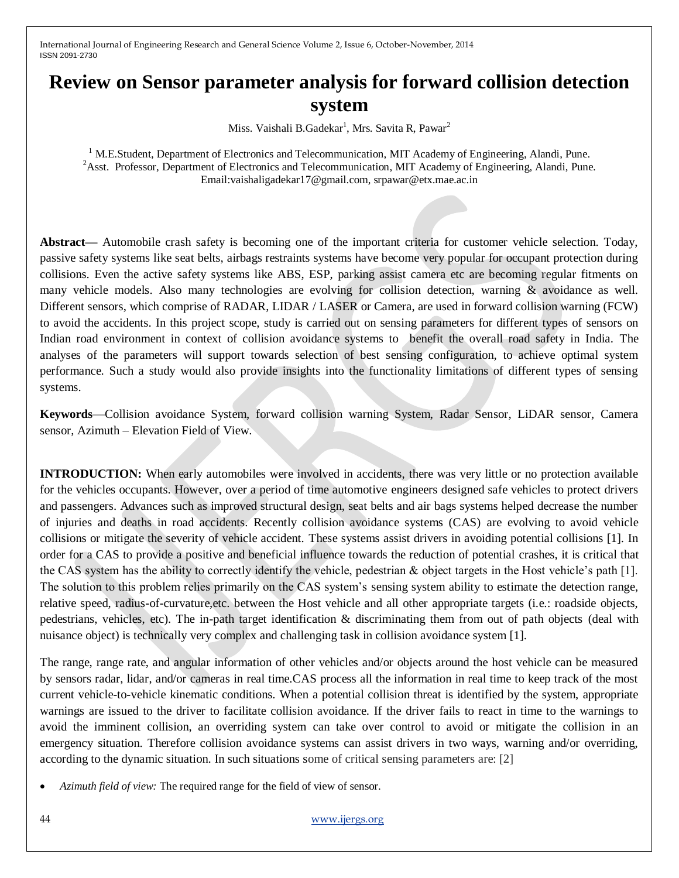# **Review on Sensor parameter analysis for forward collision detection system**

Miss. Vaishali B.Gadekar<sup>1</sup>, Mrs. Savita R, Pawar<sup>2</sup>

<sup>1</sup> M.E.Student, Department of Electronics and Telecommunication, MIT Academy of Engineering, Alandi, Pune. <sup>2</sup>Asst. Professor, Department of Electronics and Telecommunication, MIT Academy of Engineering, Alandi, Pune. Email:vaishaligadekar17@gmail.com, srpawar@etx.mae.ac.in

**Abstract—** Automobile crash safety is becoming one of the important criteria for customer vehicle selection. Today, passive safety systems like seat belts, airbags restraints systems have become very popular for occupant protection during collisions. Even the active safety systems like ABS, ESP, parking assist camera etc are becoming regular fitments on many vehicle models. Also many technologies are evolving for collision detection, warning & avoidance as well. Different sensors, which comprise of RADAR, LIDAR / LASER or Camera, are used in forward collision warning (FCW) to avoid the accidents. In this project scope, study is carried out on sensing parameters for different types of sensors on Indian road environment in context of collision avoidance systems to benefit the overall road safety in India. The analyses of the parameters will support towards selection of best sensing configuration, to achieve optimal system performance. Such a study would also provide insights into the functionality limitations of different types of sensing systems.

**Keywords**—Collision avoidance System, forward collision warning System, Radar Sensor, LiDAR sensor, Camera sensor, Azimuth – Elevation Field of View.

**INTRODUCTION:** When early automobiles were involved in accidents, there was very little or no protection available for the vehicles occupants. However, over a period of time automotive engineers designed safe vehicles to protect drivers and passengers. Advances such as improved structural design, seat belts and air bags systems helped decrease the number of injuries and deaths in road accidents. Recently collision avoidance systems (CAS) are evolving to avoid vehicle collisions or mitigate the severity of vehicle accident. These systems assist drivers in avoiding potential collisions [1]. In order for a CAS to provide a positive and beneficial influence towards the reduction of potential crashes, it is critical that the CAS system has the ability to correctly identify the vehicle, pedestrian & object targets in the Host vehicle's path [1]. The solution to this problem relies primarily on the CAS system's sensing system ability to estimate the detection range, relative speed, radius-of-curvature,etc. between the Host vehicle and all other appropriate targets (i.e.: roadside objects, pedestrians, vehicles, etc). The in-path target identification & discriminating them from out of path objects (deal with nuisance object) is technically very complex and challenging task in collision avoidance system [1].

The range, range rate, and angular information of other vehicles and/or objects around the host vehicle can be measured by sensors radar, lidar, and/or cameras in real time.CAS process all the information in real time to keep track of the most current vehicle-to-vehicle kinematic conditions. When a potential collision threat is identified by the system, appropriate warnings are issued to the driver to facilitate collision avoidance. If the driver fails to react in time to the warnings to avoid the imminent collision, an overriding system can take over control to avoid or mitigate the collision in an emergency situation. Therefore collision avoidance systems can assist drivers in two ways, warning and/or overriding, according to the dynamic situation. In such situations some of critical sensing parameters are: [2]

*Azimuth field of view:* The required range for the field of view of sensor.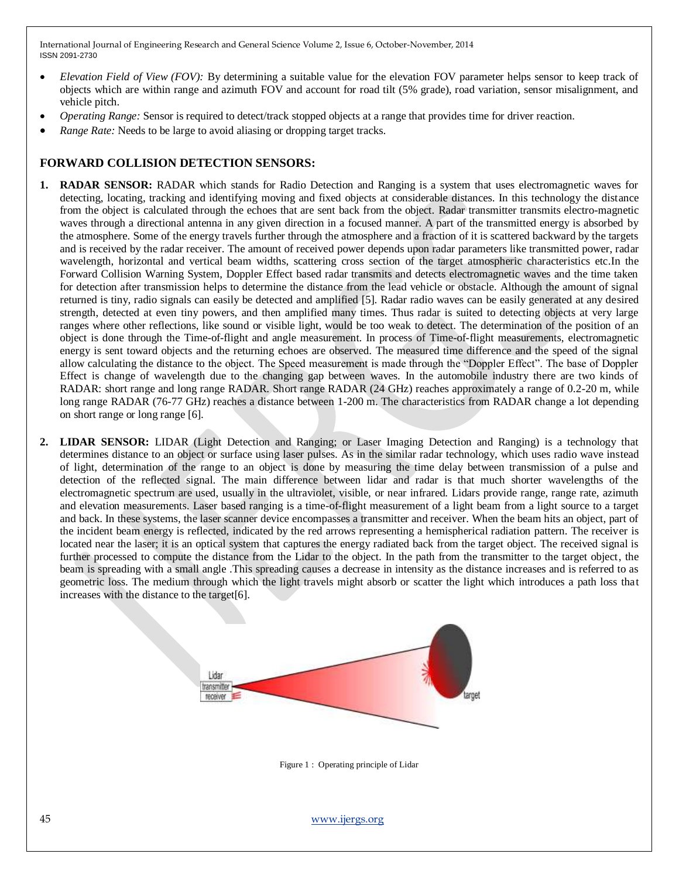- *Elevation Field of View (FOV):* By determining a suitable value for the elevation FOV parameter helps sensor to keep track of objects which are within range and azimuth FOV and account for road tilt (5% grade), road variation, sensor misalignment, and vehicle pitch.
- *Operating Range:* Sensor is required to detect/track stopped objects at a range that provides time for driver reaction.
- *Range Rate:* Needs to be large to avoid aliasing or dropping target tracks.

#### **FORWARD COLLISION DETECTION SENSORS:**

- **1. RADAR SENSOR:** RADAR which stands for Radio Detection and Ranging is a system that uses electromagnetic waves for detecting, locating, tracking and identifying moving and fixed objects at considerable distances. In this technology the distance from the object is calculated through the echoes that are sent back from the object. Radar transmitter transmits electro-magnetic waves through a directional antenna in any given direction in a focused manner. A part of the transmitted energy is absorbed by the atmosphere. Some of the energy travels further through the atmosphere and a fraction of it is scattered backward by the targets and is received by the radar receiver. The amount of received power depends upon radar parameters like transmitted power, radar wavelength, horizontal and vertical beam widths, scattering cross section of the target atmospheric characteristics etc.In the Forward Collision Warning System, Doppler Effect based radar transmits and detects electromagnetic waves and the time taken for detection after transmission helps to determine the distance from the lead vehicle or obstacle. Although the amount of signal returned is tiny, radio signals can easily be detected and amplified [5]. Radar radio waves can be easily generated at any desired strength, detected at even tiny powers, and then amplified many times. Thus radar is suited to detecting objects at very large ranges where other reflections, like sound or visible light, would be too weak to detect. The determination of the position of an object is done through the Time-of-flight and angle measurement. In process of Time-of-flight measurements, electromagnetic energy is sent toward objects and the returning echoes are observed. The measured time difference and the speed of the signal allow calculating the distance to the object. The Speed measurement is made through the "Doppler Effect". The base of Doppler Effect is change of wavelength due to the changing gap between waves. In the automobile industry there are two kinds of RADAR: short range and long range RADAR. Short range RADAR (24 GHz) reaches approximately a range of 0.2-20 m, while long range RADAR (76-77 GHz) reaches a distance between 1-200 m. The characteristics from RADAR change a lot depending on short range or long range [6].
- **2. LIDAR SENSOR:** LIDAR (Light Detection and Ranging; or Laser Imaging Detection and Ranging) is a technology that determines distance to an object or surface using laser pulses. As in the similar radar technology, which uses radio wave instead of light, determination of the range to an object is done by measuring the time delay between transmission of a pulse and detection of the reflected signal. The main difference between lidar and radar is that much shorter wavelengths of the electromagnetic spectrum are used, usually in the ultraviolet, visible, or near infrared. Lidars provide range, range rate, azimuth and elevation measurements. Laser based ranging is a time-of-flight measurement of a light beam from a light source to a target and back. In these systems, the laser scanner device encompasses a transmitter and receiver. When the beam hits an object, part of the incident beam energy is reflected, indicated by the red arrows representing a hemispherical radiation pattern. The receiver is located near the laser; it is an optical system that captures the energy radiated back from the target object. The received signal is further processed to compute the distance from the Lidar to the object. In the path from the transmitter to the target object, the beam is spreading with a small angle .This spreading causes a decrease in intensity as the distance increases and is referred to as geometric loss. The medium through which the light travels might absorb or scatter the light which introduces a path loss that increases with the distance to the target[6].



Figure 1 : Operating principle of Lidar

45 [www.ijergs.org](http://www.ijergs.org/)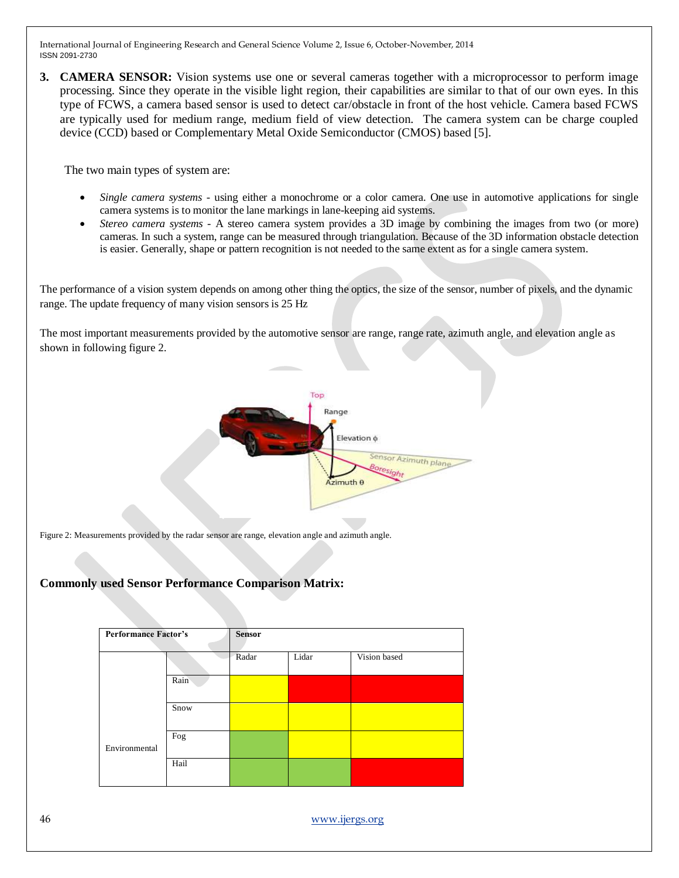**3. CAMERA SENSOR:** Vision systems use one or several cameras together with a microprocessor to perform image processing. Since they operate in the visible light region, their capabilities are similar to that of our own eyes. In this type of FCWS, a camera based sensor is used to detect car/obstacle in front of the host vehicle. Camera based FCWS are typically used for medium range, medium field of view detection. The camera system can be charge coupled device (CCD) based or Complementary Metal Oxide Semiconductor (CMOS) based [5].

The two main types of system are:

- *Single camera systems* using either a monochrome or a color camera. One use in automotive applications for single camera systems is to monitor the lane markings in lane-keeping aid systems.
- *Stereo camera systems* A stereo camera system provides a 3D image by combining the images from two (or more) cameras. In such a system, range can be measured through triangulation. Because of the 3D information obstacle detection is easier. Generally, shape or pattern recognition is not needed to the same extent as for a single camera system.

The performance of a vision system depends on among other thing the optics, the size of the sensor, number of pixels, and the dynamic range. The update frequency of many vision sensors is 25 Hz

The most important measurements provided by the automotive sensor are range, range rate, azimuth angle, and elevation angle as shown in following figure 2.



Figure 2: Measurements provided by the radar sensor are range, elevation angle and azimuth angle.

## **Commonly used Sensor Performance Comparison Matrix:**

| <b>Performance Factor's</b> |      | <b>Sensor</b> |       |              |
|-----------------------------|------|---------------|-------|--------------|
|                             |      | Radar         | Lidar | Vision based |
|                             | Rain |               |       |              |
|                             | Snow |               |       |              |
| Environmental               | Fog  |               |       |              |
|                             | Hail |               |       |              |

46 [www.ijergs.org](http://www.ijergs.org/)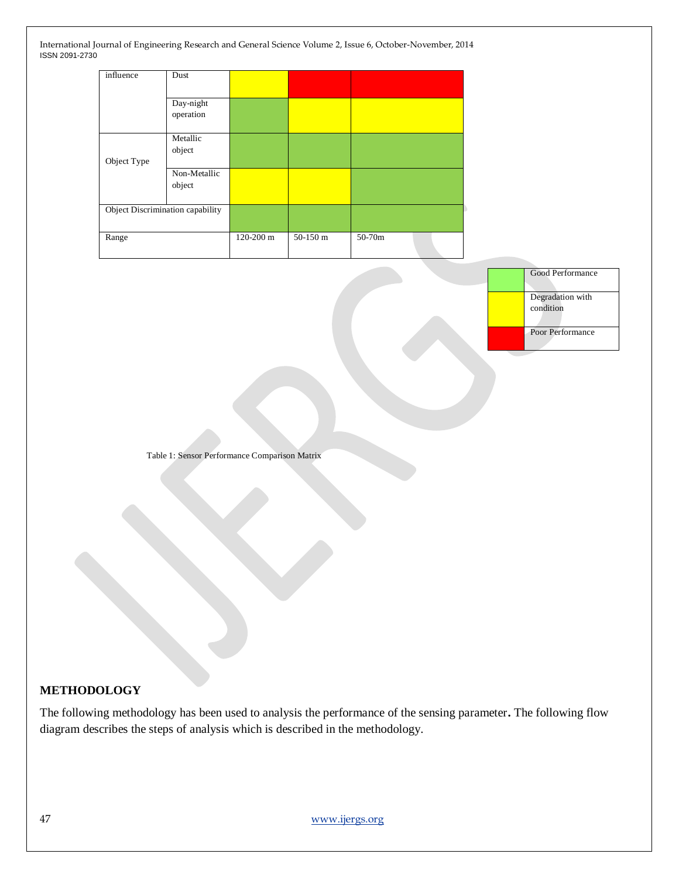| influence                        | Dust         |           |          |        |
|----------------------------------|--------------|-----------|----------|--------|
|                                  |              |           |          |        |
|                                  | Day-night    |           |          |        |
|                                  | operation    |           |          |        |
|                                  |              |           |          |        |
|                                  | Metallic     |           |          |        |
|                                  | object       |           |          |        |
| Object Type                      |              |           |          |        |
|                                  | Non-Metallic |           |          |        |
|                                  | object       |           |          |        |
|                                  |              |           |          |        |
| Object Discrimination capability |              |           |          |        |
|                                  |              |           |          |        |
| Range                            |              | 120-200 m | 50-150 m | 50-70m |
|                                  |              |           |          |        |

Good Performance

Degradation with

condition

Poor Performance

Table 1: Sensor Performance Comparison Matrix

## **METHODOLOGY**

The following methodology has been used to analysis the performance of the sensing parameter**.** The following flow diagram describes the steps of analysis which is described in the methodology.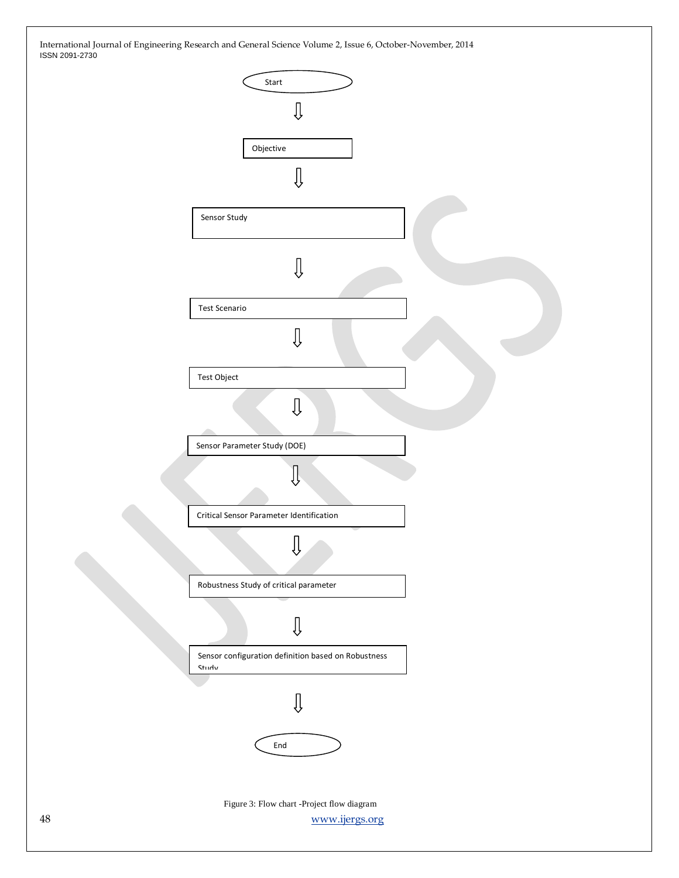| 1001120012100 |                                                                     |  |
|---------------|---------------------------------------------------------------------|--|
|               | Start<br>∬                                                          |  |
|               | Objective<br>∬                                                      |  |
|               | Sensor Study                                                        |  |
|               | ∬                                                                   |  |
|               | <b>Test Scenario</b><br>$\overline{\mathbb{Q}}$                     |  |
|               | Test Object<br>Ų                                                    |  |
|               | Sensor Parameter Study (DOE)                                        |  |
|               | Critical Sensor Parameter Identification                            |  |
|               |                                                                     |  |
|               | Robustness Study of critical parameter<br>$\overline{\mathbb{Q}}$   |  |
|               | Sensor configuration definition based on Robustness<br><b>Study</b> |  |
|               | Û<br>$\ensuremath{\mathsf{End}}$                                    |  |
| 48            | Figure 3: Flow chart -Project flow diagram<br>www.ijergs.org        |  |
|               |                                                                     |  |